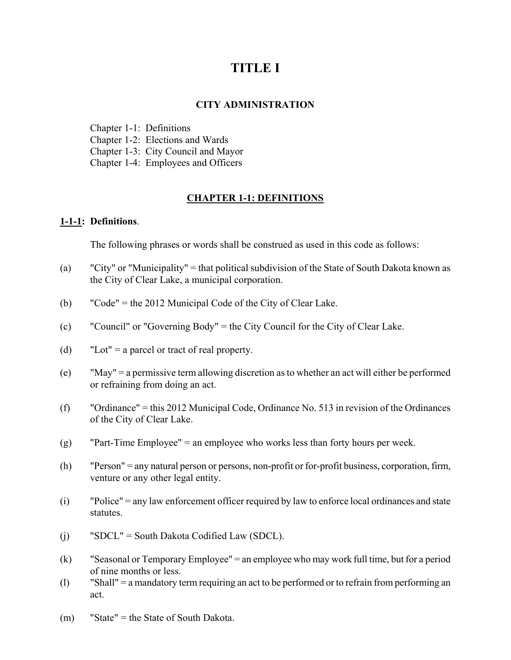# **TITLE I**

#### **CITY ADMINISTRATION**

Chapter 1-1: Definitions Chapter 1-2: Elections and Wards Chapter 1-3: City Council and Mayor Chapter 1-4: Employees and Officers

## **CHAPTER 1-1: DEFINITIONS**

#### **1-1-1: Definitions**.

The following phrases or words shall be construed as used in this code as follows:

- (a) "City" or "Municipality" = that political subdivision of the State of South Dakota known as the City of Clear Lake, a municipal corporation.
- (b) "Code" = the 2012 Municipal Code of the City of Clear Lake.
- (c) "Council" or "Governing Body" = the City Council for the City of Clear Lake.
- (d) "Lot" = a parcel or tract of real property.
- (e) "May" = a permissive term allowing discretion as to whether an act will either be performed or refraining from doing an act.
- (f) "Ordinance" = this 2012 Municipal Code, Ordinance No. 513 in revision of the Ordinances of the City of Clear Lake.
- (g) "Part-Time Employee" = an employee who works less than forty hours per week.
- (h) "Person" = any natural person or persons, non-profit or for-profit business, corporation, firm, venture or any other legal entity.
- (i) "Police" = any law enforcement officer required by law to enforce local ordinances and state statutes.
- (j) "SDCL" = South Dakota Codified Law (SDCL).
- (k) "Seasonal or Temporary Employee" = an employee who may work full time, but for a period of nine months or less.
- (l) "Shall" = a mandatory term requiring an act to be performed or to refrain from performing an act.
- (m) "State" = the State of South Dakota.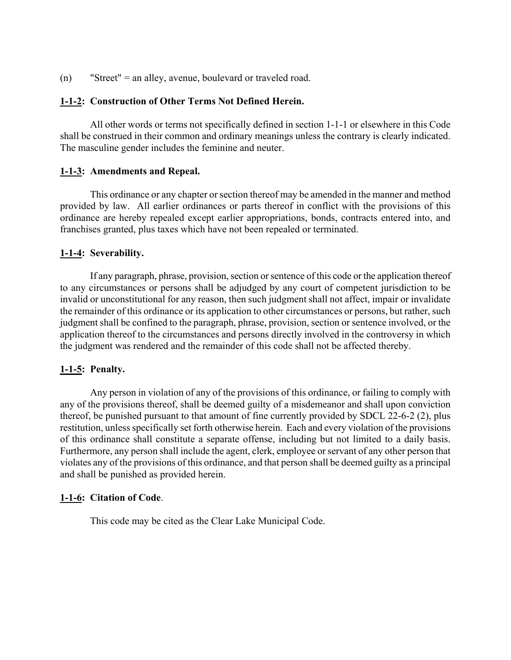(n) "Street" = an alley, avenue, boulevard or traveled road.

#### **1-1-2: Construction of Other Terms Not Defined Herein.**

All other words or terms not specifically defined in section 1-1-1 or elsewhere in this Code shall be construed in their common and ordinary meanings unless the contrary is clearly indicated. The masculine gender includes the feminine and neuter.

#### **1-1-3: Amendments and Repeal.**

This ordinance or any chapter or section thereof may be amended in the manner and method provided by law. All earlier ordinances or parts thereof in conflict with the provisions of this ordinance are hereby repealed except earlier appropriations, bonds, contracts entered into, and franchises granted, plus taxes which have not been repealed or terminated.

#### **1-1-4: Severability.**

If any paragraph, phrase, provision, section or sentence of this code or the application thereof to any circumstances or persons shall be adjudged by any court of competent jurisdiction to be invalid or unconstitutional for any reason, then such judgment shall not affect, impair or invalidate the remainder of this ordinance or its application to other circumstances or persons, but rather, such judgment shall be confined to the paragraph, phrase, provision, section or sentence involved, or the application thereof to the circumstances and persons directly involved in the controversy in which the judgment was rendered and the remainder of this code shall not be affected thereby.

#### **1-1-5: Penalty.**

Any person in violation of any of the provisions of this ordinance, or failing to comply with any of the provisions thereof, shall be deemed guilty of a misdemeanor and shall upon conviction thereof, be punished pursuant to that amount of fine currently provided by SDCL 22-6-2 (2), plus restitution, unless specifically set forth otherwise herein. Each and every violation of the provisions of this ordinance shall constitute a separate offense, including but not limited to a daily basis. Furthermore, any person shall include the agent, clerk, employee or servant of any other person that violates any of the provisions of this ordinance, and that person shall be deemed guilty as a principal and shall be punished as provided herein.

#### **1-1-6: Citation of Code**.

This code may be cited as the Clear Lake Municipal Code.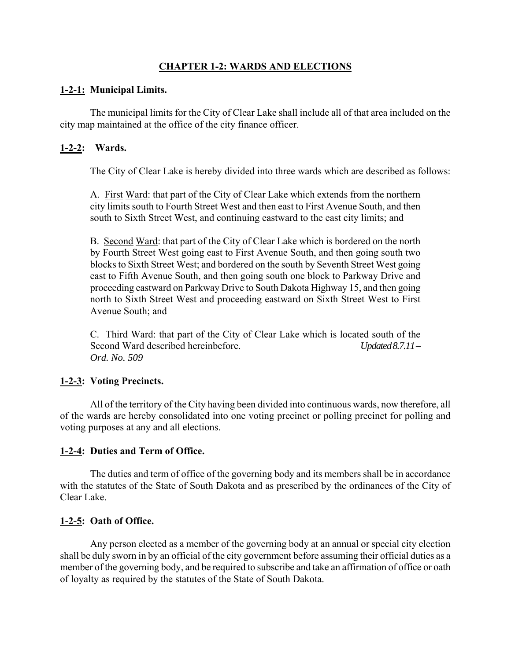# **CHAPTER 1-2: WARDS AND ELECTIONS**

## **1-2-1: Municipal Limits.**

The municipal limits for the City of Clear Lake shall include all of that area included on the city map maintained at the office of the city finance officer.

## **1-2-2: Wards.**

The City of Clear Lake is hereby divided into three wards which are described as follows:

A. First Ward: that part of the City of Clear Lake which extends from the northern city limits south to Fourth Street West and then east to First Avenue South, and then south to Sixth Street West, and continuing eastward to the east city limits; and

B. Second Ward: that part of the City of Clear Lake which is bordered on the north by Fourth Street West going east to First Avenue South, and then going south two blocks to Sixth Street West; and bordered on the south by Seventh Street West going east to Fifth Avenue South, and then going south one block to Parkway Drive and proceeding eastward on Parkway Drive to South Dakota Highway 15, and then going north to Sixth Street West and proceeding eastward on Sixth Street West to First Avenue South; and

C. Third Ward: that part of the City of Clear Lake which is located south of the Second Ward described hereinbefore. *Updated 8.7.11* – *Ord. No. 509* 

# **1-2-3: Voting Precincts.**

All of the territory of the City having been divided into continuous wards, now therefore, all of the wards are hereby consolidated into one voting precinct or polling precinct for polling and voting purposes at any and all elections.

# **1-2-4: Duties and Term of Office.**

The duties and term of office of the governing body and its members shall be in accordance with the statutes of the State of South Dakota and as prescribed by the ordinances of the City of Clear Lake.

# **1-2-5: Oath of Office.**

Any person elected as a member of the governing body at an annual or special city election shall be duly sworn in by an official of the city government before assuming their official duties as a member of the governing body, and be required to subscribe and take an affirmation of office or oath of loyalty as required by the statutes of the State of South Dakota.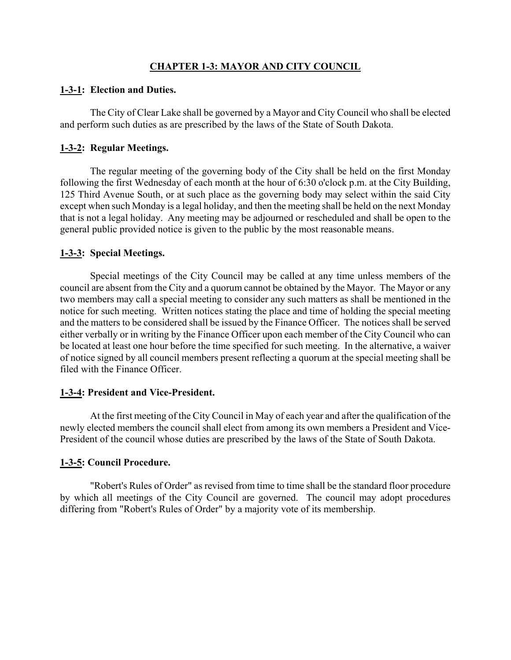## **CHAPTER 1-3: MAYOR AND CITY COUNCIL**

#### **1-3-1: Election and Duties.**

The City of Clear Lake shall be governed by a Mayor and City Council who shall be elected and perform such duties as are prescribed by the laws of the State of South Dakota.

## **1-3-2: Regular Meetings.**

The regular meeting of the governing body of the City shall be held on the first Monday following the first Wednesday of each month at the hour of 6:30 o'clock p.m. at the City Building, 125 Third Avenue South, or at such place as the governing body may select within the said City except when such Monday is a legal holiday, and then the meeting shall be held on the next Monday that is not a legal holiday. Any meeting may be adjourned or rescheduled and shall be open to the general public provided notice is given to the public by the most reasonable means.

#### **1-3-3: Special Meetings.**

Special meetings of the City Council may be called at any time unless members of the council are absent from the City and a quorum cannot be obtained by the Mayor. The Mayor or any two members may call a special meeting to consider any such matters as shall be mentioned in the notice for such meeting. Written notices stating the place and time of holding the special meeting and the matters to be considered shall be issued by the Finance Officer. The notices shall be served either verbally or in writing by the Finance Officer upon each member of the City Council who can be located at least one hour before the time specified for such meeting. In the alternative, a waiver of notice signed by all council members present reflecting a quorum at the special meeting shall be filed with the Finance Officer.

## **1-3-4: President and Vice-President.**

At the first meeting of the City Council in May of each year and after the qualification of the newly elected members the council shall elect from among its own members a President and Vice-President of the council whose duties are prescribed by the laws of the State of South Dakota.

## **1-3-5: Council Procedure.**

"Robert's Rules of Order" as revised from time to time shall be the standard floor procedure by which all meetings of the City Council are governed. The council may adopt procedures differing from "Robert's Rules of Order" by a majority vote of its membership.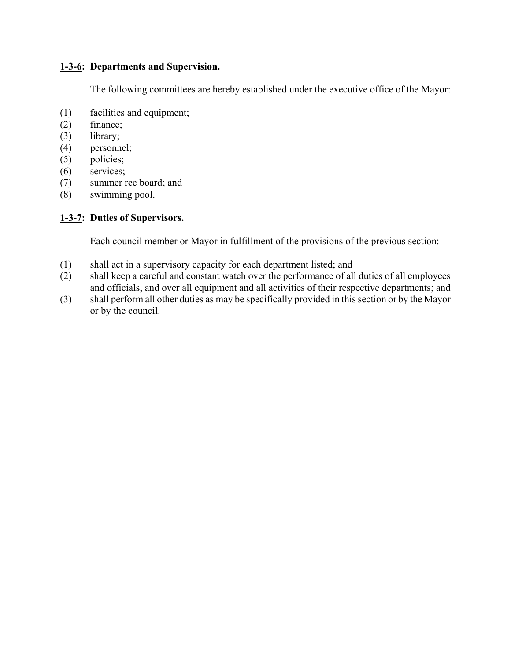## **1-3-6: Departments and Supervision.**

The following committees are hereby established under the executive office of the Mayor:

- (1) facilities and equipment;
- (2) finance;
- (3) library;
- (4) personnel;
- (5) policies;
- (6) services;
- (7) summer rec board; and
- (8) swimming pool.

# **1-3-7: Duties of Supervisors.**

Each council member or Mayor in fulfillment of the provisions of the previous section:

- (1) shall act in a supervisory capacity for each department listed; and
- (2) shall keep a careful and constant watch over the performance of all duties of all employees and officials, and over all equipment and all activities of their respective departments; and
- (3) shall perform all other duties as may be specifically provided in this section or by the Mayor or by the council.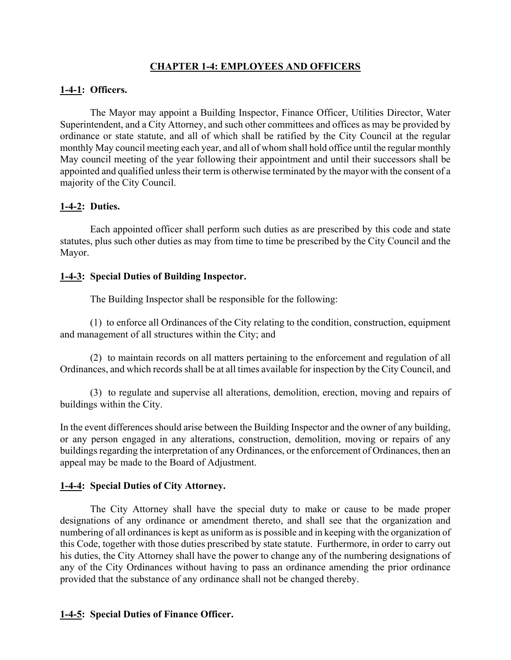## **CHAPTER 1-4: EMPLOYEES AND OFFICERS**

## **1-4-1: Officers.**

The Mayor may appoint a Building Inspector, Finance Officer, Utilities Director, Water Superintendent, and a City Attorney, and such other committees and offices as may be provided by ordinance or state statute, and all of which shall be ratified by the City Council at the regular monthly May council meeting each year, and all of whom shall hold office until the regular monthly May council meeting of the year following their appointment and until their successors shall be appointed and qualified unless their term is otherwise terminated by the mayor with the consent of a majority of the City Council.

## **1-4-2: Duties.**

Each appointed officer shall perform such duties as are prescribed by this code and state statutes, plus such other duties as may from time to time be prescribed by the City Council and the Mayor.

#### **1-4-3: Special Duties of Building Inspector.**

The Building Inspector shall be responsible for the following:

(1) to enforce all Ordinances of the City relating to the condition, construction, equipment and management of all structures within the City; and

(2) to maintain records on all matters pertaining to the enforcement and regulation of all Ordinances, and which records shall be at all times available for inspection by the City Council, and

(3) to regulate and supervise all alterations, demolition, erection, moving and repairs of buildings within the City.

In the event differences should arise between the Building Inspector and the owner of any building, or any person engaged in any alterations, construction, demolition, moving or repairs of any buildings regarding the interpretation of any Ordinances, or the enforcement of Ordinances, then an appeal may be made to the Board of Adjustment.

## **1-4-4: Special Duties of City Attorney.**

The City Attorney shall have the special duty to make or cause to be made proper designations of any ordinance or amendment thereto, and shall see that the organization and numbering of all ordinances is kept as uniform as is possible and in keeping with the organization of this Code, together with those duties prescribed by state statute. Furthermore, in order to carry out his duties, the City Attorney shall have the power to change any of the numbering designations of any of the City Ordinances without having to pass an ordinance amending the prior ordinance provided that the substance of any ordinance shall not be changed thereby.

## **1-4-5: Special Duties of Finance Officer.**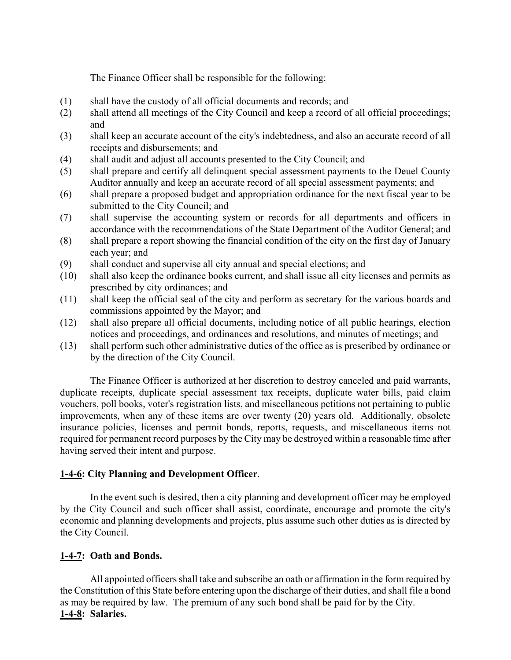The Finance Officer shall be responsible for the following:

- (1) shall have the custody of all official documents and records; and
- (2) shall attend all meetings of the City Council and keep a record of all official proceedings; and
- (3) shall keep an accurate account of the city's indebtedness, and also an accurate record of all receipts and disbursements; and
- (4) shall audit and adjust all accounts presented to the City Council; and
- (5) shall prepare and certify all delinquent special assessment payments to the Deuel County Auditor annually and keep an accurate record of all special assessment payments; and
- (6) shall prepare a proposed budget and appropriation ordinance for the next fiscal year to be submitted to the City Council; and
- (7) shall supervise the accounting system or records for all departments and officers in accordance with the recommendations of the State Department of the Auditor General; and
- (8) shall prepare a report showing the financial condition of the city on the first day of January each year; and
- (9) shall conduct and supervise all city annual and special elections; and
- (10) shall also keep the ordinance books current, and shall issue all city licenses and permits as prescribed by city ordinances; and
- (11) shall keep the official seal of the city and perform as secretary for the various boards and commissions appointed by the Mayor; and
- (12) shall also prepare all official documents, including notice of all public hearings, election notices and proceedings, and ordinances and resolutions, and minutes of meetings; and
- (13) shall perform such other administrative duties of the office as is prescribed by ordinance or by the direction of the City Council.

The Finance Officer is authorized at her discretion to destroy canceled and paid warrants, duplicate receipts, duplicate special assessment tax receipts, duplicate water bills, paid claim vouchers, poll books, voter's registration lists, and miscellaneous petitions not pertaining to public improvements, when any of these items are over twenty (20) years old. Additionally, obsolete insurance policies, licenses and permit bonds, reports, requests, and miscellaneous items not required for permanent record purposes by the City may be destroyed within a reasonable time after having served their intent and purpose.

# **1-4-6: City Planning and Development Officer**.

In the event such is desired, then a city planning and development officer may be employed by the City Council and such officer shall assist, coordinate, encourage and promote the city's economic and planning developments and projects, plus assume such other duties as is directed by the City Council.

# **1-4-7: Oath and Bonds.**

All appointed officers shall take and subscribe an oath or affirmation in the form required by the Constitution of this State before entering upon the discharge of their duties, and shall file a bond as may be required by law. The premium of any such bond shall be paid for by the City. **1-4-8: Salaries.**